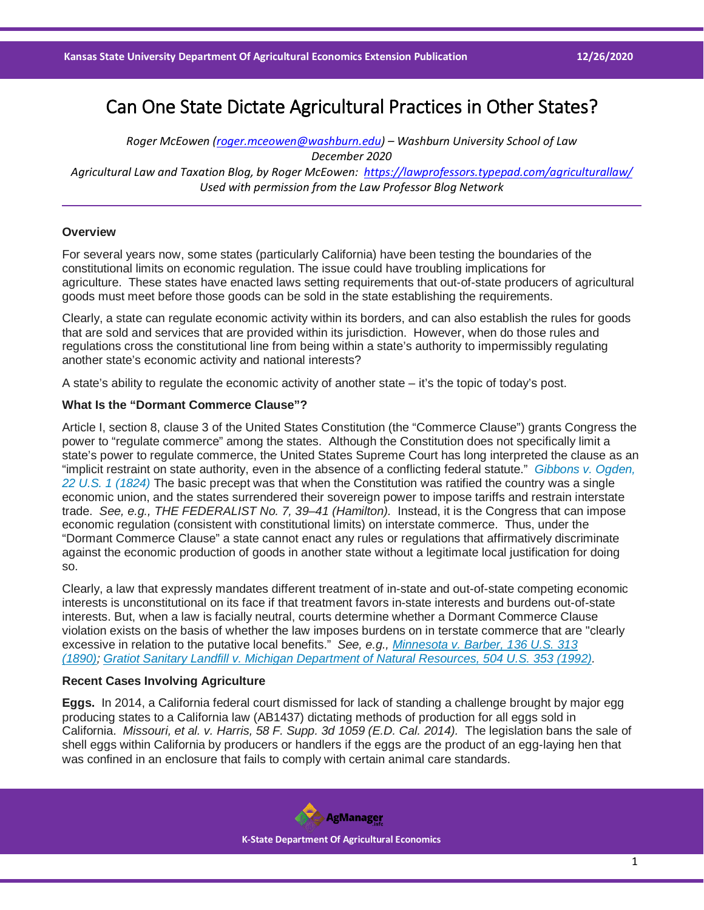# Can One State Dictate Agricultural Practices in Other States?

*Roger McEowen [\(roger.mceowen@washburn.edu\)](mailto:roger.mceowen@washburn.edu) – Washburn University School of Law December 2020 Agricultural Law and Taxation Blog, by Roger McEowen:<https://lawprofessors.typepad.com/agriculturallaw/> Used with permission from the Law Professor Blog Network*

## **Overview**

For several years now, some states (particularly California) have been testing the boundaries of the constitutional limits on economic regulation. The issue could have troubling implications for agriculture. These states have enacted laws setting requirements that out-of-state producers of agricultural goods must meet before those goods can be sold in the state establishing the requirements.

Clearly, a state can regulate economic activity within its borders, and can also establish the rules for goods that are sold and services that are provided within its jurisdiction. However, when do those rules and regulations cross the constitutional line from being within a state's authority to impermissibly regulating another state's economic activity and national interests?

A state's ability to regulate the economic activity of another state – it's the topic of today's post.

## **What Is the "Dormant Commerce Clause"?**

Article I, section 8, clause 3 of the United States Constitution (the "Commerce Clause") grants Congress the power to "regulate commerce" among the states. Although the Constitution does not specifically limit a state's power to regulate commerce, the United States Supreme Court has long interpreted the clause as an "implicit restraint on state authority, even in the absence of a conflicting federal statute." *[Gibbons v. Ogden,](https://casetext.com/case/gibbons-v-ogden-5?ref=ArRBZs!TxMGtJ)  [22 U.S. 1 \(1824\)](https://casetext.com/case/gibbons-v-ogden-5?ref=ArRBZs!TxMGtJ)* The basic precept was that when the Constitution was ratified the country was a single economic union, and the states surrendered their sovereign power to impose tariffs and restrain interstate trade. *See, e.g., THE FEDERALIST No. 7, 39–41 (Hamilton).* Instead, it is the Congress that can impose economic regulation (consistent with constitutional limits) on interstate commerce. Thus, under the "Dormant Commerce Clause" a state cannot enact any rules or regulations that affirmatively discriminate against the economic production of goods in another state without a legitimate local justification for doing so.

Clearly, a law that expressly mandates different treatment of in-state and out-of-state competing economic interests is unconstitutional on its face if that treatment favors in-state interests and burdens out-of-state interests. But, when a law is facially neutral, courts determine whether a Dormant Commerce Clause violation exists on the basis of whether the law imposes burdens on in terstate commerce that are "clearly excessive in relation to the putative local benefits." *See, e.g., [Minnesota v. Barber, 136 U.S. 313](https://casetext.com/case/minnesota-v-barber?ref=ArRBZs!3ZVDWV)  [\(1890\);](https://casetext.com/case/minnesota-v-barber?ref=ArRBZs!3ZVDWV) [Gratiot Sanitary Landfill v. Michigan Department of Natural Resources, 504 U.S. 353 \(1992\).](https://casetext.com/case/fort-gratiot-landfill-v-mich-dnr?ref=ArRBZs!CqfxQS)*

## **Recent Cases Involving Agriculture**

**Eggs.** In 2014, a California federal court dismissed for lack of standing a challenge brought by major egg producing states to a California law (AB1437) dictating methods of production for all eggs sold in California. *Missouri, et al. v. Harris, 58 F. Supp. 3d 1059 (E.D. Cal. 2014).* The legislation bans the sale of shell eggs within California by producers or handlers if the eggs are the product of an egg-laying hen that was confined in an enclosure that fails to comply with certain animal care standards.

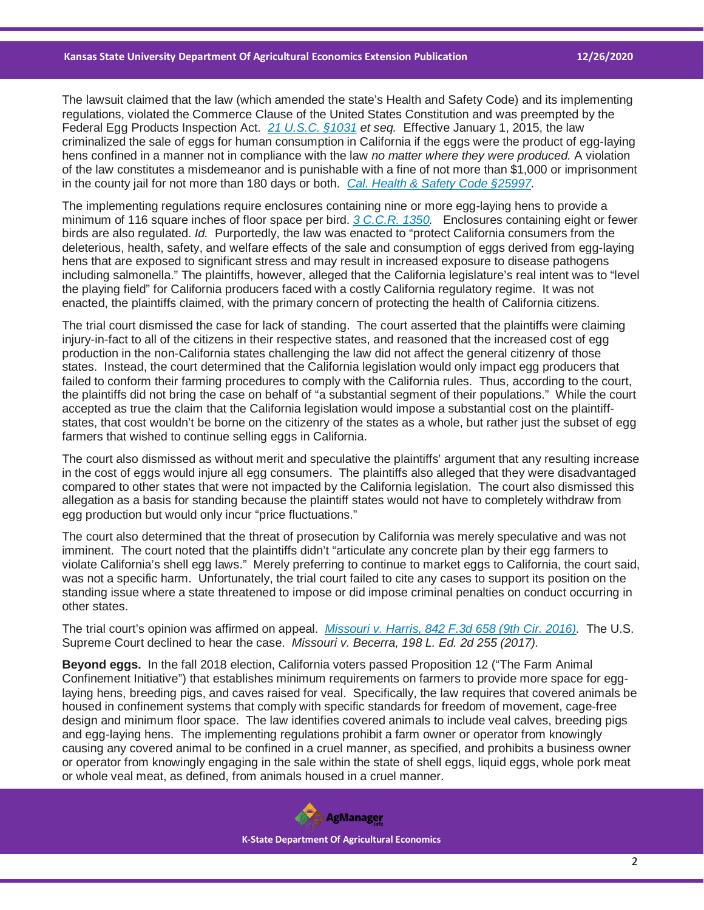The lawsuit claimed that the law (which amended the state's Health and Safety Code) and its implementing regulations, violated the Commerce Clause of the United States Constitution and was preempted by the Federal Egg Products Inspection Act. *[21 U.S.C. §1031](https://casetext.com/statute/united-states-code/title-21-food-and-drugs/chapter-15-egg-products-inspection/section-1031-congressional-statement-of-findings?ref=ArRBZs!mUbR2m) et seq.* Effective January 1, 2015, the law criminalized the sale of eggs for human consumption in California if the eggs were the product of egg-laying hens confined in a manner not in compliance with the law *no matter where they were produced.* A violation of the law constitutes a misdemeanor and is punishable with a fine of not more than \$1,000 or imprisonment in the county jail for not more than 180 days or both. *[Cal. Health & Safety Code §25997.](https://casetext.com/statute/california-codes/california-health-and-safety-code/division-20-miscellaneous-health-and-safety-provisions/chapter-15-safety-glazing-materials/section-25997?ref=ArRBZs!rUNRVv)*

The implementing regulations require enclosures containing nine or more egg-laying hens to provide a minimum of 116 square inches of floor space per bird. *[3 C.C.R. 1350.](https://casetext.com/regulation/california-code-of-regulations/title-3-food-and-agriculture/division-3-economics/chapter-1-fruit-and-vegetable-standardization/subchapter-3-eggs/section-1350-shell-egg-food-safety?ref=ArRBZs!SfXvsn)* Enclosures containing eight or fewer birds are also regulated. *Id.* Purportedly, the law was enacted to "protect California consumers from the deleterious, health, safety, and welfare effects of the sale and consumption of eggs derived from egg-laying hens that are exposed to significant stress and may result in increased exposure to disease pathogens including salmonella." The plaintiffs, however, alleged that the California legislature's real intent was to "level the playing field" for California producers faced with a costly California regulatory regime. It was not enacted, the plaintiffs claimed, with the primary concern of protecting the health of California citizens.

The trial court dismissed the case for lack of standing. The court asserted that the plaintiffs were claiming injury-in-fact to all of the citizens in their respective states, and reasoned that the increased cost of egg production in the non-California states challenging the law did not affect the general citizenry of those states. Instead, the court determined that the California legislation would only impact egg producers that failed to conform their farming procedures to comply with the California rules. Thus, according to the court, the plaintiffs did not bring the case on behalf of "a substantial segment of their populations." While the court accepted as true the claim that the California legislation would impose a substantial cost on the plaintiffstates, that cost wouldn't be borne on the citizenry of the states as a whole, but rather just the subset of egg farmers that wished to continue selling eggs in California.

The court also dismissed as without merit and speculative the plaintiffs' argument that any resulting increase in the cost of eggs would injure all egg consumers. The plaintiffs also alleged that they were disadvantaged compared to other states that were not impacted by the California legislation. The court also dismissed this allegation as a basis for standing because the plaintiff states would not have to completely withdraw from egg production but would only incur "price fluctuations."

The court also determined that the threat of prosecution by California was merely speculative and was not imminent. The court noted that the plaintiffs didn't "articulate any concrete plan by their egg farmers to violate California's shell egg laws." Merely preferring to continue to market eggs to California, the court said, was not a specific harm. Unfortunately, the trial court failed to cite any cases to support its position on the standing issue where a state threatened to impose or did impose criminal penalties on conduct occurring in other states.

The trial court's opinion was affirmed on appeal. *[Missouri v. Harris, 842 F.3d 658 \(9th Cir. 2016\).](https://casetext.com/case/state-ex-rel-koster-v-harris?ref=ArRBZs!8ycBO6)* The U.S. Supreme Court declined to hear the case. *Missouri v. Becerra, 198 L. Ed. 2d 255 (2017).*

**Beyond eggs.** In the fall 2018 election, California voters passed Proposition 12 ("The Farm Animal Confinement Initiative") that establishes minimum requirements on farmers to provide more space for egglaying hens, breeding pigs, and caves raised for veal. Specifically, the law requires that covered animals be housed in confinement systems that comply with specific standards for freedom of movement, cage-free design and minimum floor space. The law identifies covered animals to include veal calves, breeding pigs and egg-laying hens. The implementing regulations prohibit a farm owner or operator from knowingly causing any covered animal to be confined in a cruel manner, as specified, and prohibits a business owner or operator from knowingly engaging in the sale within the state of shell eggs, liquid eggs, whole pork meat or whole veal meat, as defined, from animals housed in a cruel manner.



 **K-State Department Of Agricultural Economics**